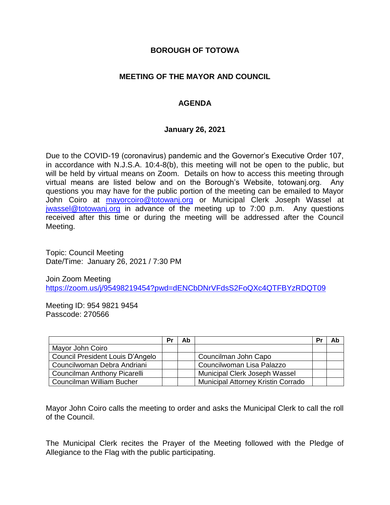### **BOROUGH OF TOTOWA**

## **MEETING OF THE MAYOR AND COUNCIL**

## **AGENDA**

#### **January 26, 2021**

Due to the COVID-19 (coronavirus) pandemic and the Governor's Executive Order 107, in accordance with N.J.S.A. 10:4-8(b), this meeting will not be open to the public, but will be held by virtual means on Zoom. Details on how to access this meeting through virtual means are listed below and on the Borough's Website, totowanj.org. Any questions you may have for the public portion of the meeting can be emailed to Mayor John Coiro at [mayorcoiro@totowanj.org](mailto:mayorcoiro@totowanj.org) or Municipal Clerk Joseph Wassel at [jwassel@totowanj.org](mailto:jwassel@totowanj.org) in advance of the meeting up to 7:00 p.m. Any questions received after this time or during the meeting will be addressed after the Council Meeting.

Topic: Council Meeting Date/Time: January 26, 2021 / 7:30 PM

Join Zoom Meeting <https://zoom.us/j/95498219454?pwd=dENCbDNrVFdsS2FoQXc4QTFBYzRDQT09>

Meeting ID: 954 9821 9454 Passcode: 270566

|                                  | Pr | Ab |                                           | Pr | Ab |
|----------------------------------|----|----|-------------------------------------------|----|----|
| Mayor John Coiro                 |    |    |                                           |    |    |
| Council President Louis D'Angelo |    |    | Councilman John Capo                      |    |    |
| Councilwoman Debra Andriani      |    |    | Councilwoman Lisa Palazzo                 |    |    |
| Councilman Anthony Picarelli     |    |    | Municipal Clerk Joseph Wassel             |    |    |
| Councilman William Bucher        |    |    | <b>Municipal Attorney Kristin Corrado</b> |    |    |

Mayor John Coiro calls the meeting to order and asks the Municipal Clerk to call the roll of the Council.

The Municipal Clerk recites the Prayer of the Meeting followed with the Pledge of Allegiance to the Flag with the public participating.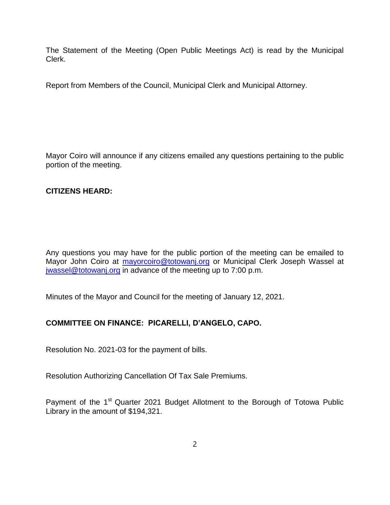The Statement of the Meeting (Open Public Meetings Act) is read by the Municipal Clerk.

Report from Members of the Council, Municipal Clerk and Municipal Attorney.

Mayor Coiro will announce if any citizens emailed any questions pertaining to the public portion of the meeting.

## **CITIZENS HEARD:**

Any questions you may have for the public portion of the meeting can be emailed to Mayor John Coiro at [mayorcoiro@totowanj.org](mailto:mayorcoiro@totowanj.org) or Municipal Clerk Joseph Wassel at [jwassel@totowanj.org](mailto:jwassel@totowanj.org) in advance of the meeting up to 7:00 p.m.

Minutes of the Mayor and Council for the meeting of January 12, 2021.

# **COMMITTEE ON FINANCE: PICARELLI, D'ANGELO, CAPO.**

Resolution No. 2021-03 for the payment of bills.

Resolution Authorizing Cancellation Of Tax Sale Premiums.

Payment of the 1<sup>st</sup> Quarter 2021 Budget Allotment to the Borough of Totowa Public Library in the amount of \$194,321.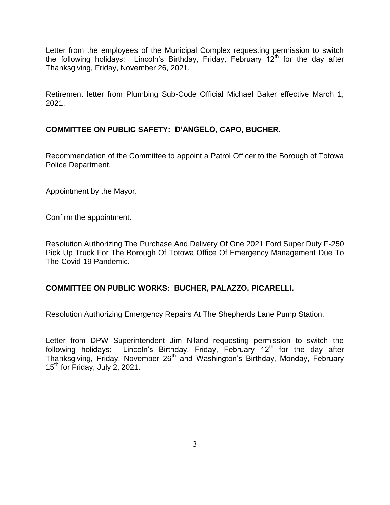Letter from the employees of the Municipal Complex requesting permission to switch the following holidays: Lincoln's Birthday, Friday, February 12<sup>th</sup> for the day after Thanksgiving, Friday, November 26, 2021.

Retirement letter from Plumbing Sub-Code Official Michael Baker effective March 1, 2021.

## **COMMITTEE ON PUBLIC SAFETY: D'ANGELO, CAPO, BUCHER.**

Recommendation of the Committee to appoint a Patrol Officer to the Borough of Totowa Police Department.

Appointment by the Mayor.

Confirm the appointment.

Resolution Authorizing The Purchase And Delivery Of One 2021 Ford Super Duty F-250 Pick Up Truck For The Borough Of Totowa Office Of Emergency Management Due To The Covid-19 Pandemic.

#### **COMMITTEE ON PUBLIC WORKS: BUCHER, PALAZZO, PICARELLI.**

Resolution Authorizing Emergency Repairs At The Shepherds Lane Pump Station.

Letter from DPW Superintendent Jim Niland requesting permission to switch the following holidays: Lincoln's Birthday, Friday, February  $12<sup>th</sup>$  for the day after Thanksgiving, Friday, November 26<sup>th</sup> and Washington's Birthday, Monday, February 15<sup>th</sup> for Friday, July 2, 2021.